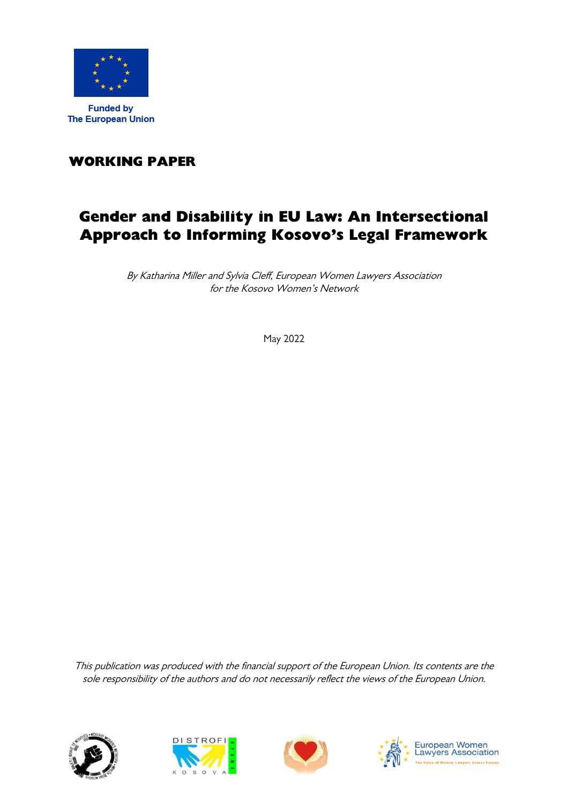

## **WORKING PAPER**

# **Gender and Disability in EU Law: An Intersectional Approach to Informing Kosovo's Legal Framework**

By Katharina Miller and Sylvia Cleff, European Women Lawyers Association for the Kosovo Women's Network

May 2022

This publication was produced with the financial support of the European Union. Its contents are the sole responsibility of the authors and do not necessarily reflect the views of the European Union.









European Women<br>Lawyers Association<br>The Voice of Women Lawyers Across Europe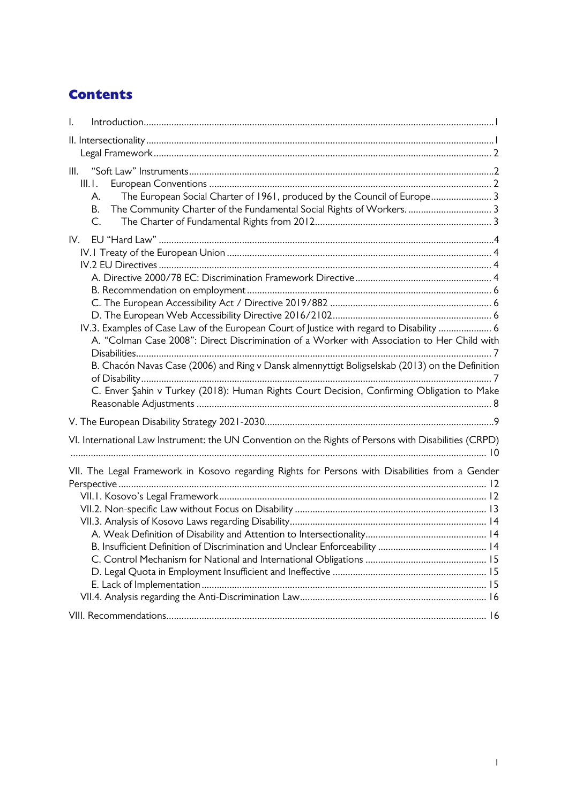# **Contents**

| I.   |                                                                                                                                                                                                                                                                                                                                                                                          |  |
|------|------------------------------------------------------------------------------------------------------------------------------------------------------------------------------------------------------------------------------------------------------------------------------------------------------------------------------------------------------------------------------------------|--|
|      |                                                                                                                                                                                                                                                                                                                                                                                          |  |
| III. | III.1.<br>The European Social Charter of 1961, produced by the Council of Europe 3<br>А.<br>The Community Charter of the Fundamental Social Rights of Workers.  3<br>В.<br>C.                                                                                                                                                                                                            |  |
| IV.  | IV.3. Examples of Case Law of the European Court of Justice with regard to Disability  6<br>A. "Colman Case 2008": Direct Discrimination of a Worker with Association to Her Child with<br>B. Chacón Navas Case (2006) and Ring v Dansk almennyttigt Boligselskab (2013) on the Definition<br>C. Enver Şahin v Turkey (2018): Human Rights Court Decision, Confirming Obligation to Make |  |
|      |                                                                                                                                                                                                                                                                                                                                                                                          |  |
|      | VI. International Law Instrument: the UN Convention on the Rights of Persons with Disabilities (CRPD)                                                                                                                                                                                                                                                                                    |  |
|      | VII. The Legal Framework in Kosovo regarding Rights for Persons with Disabilities from a Gender                                                                                                                                                                                                                                                                                          |  |
|      |                                                                                                                                                                                                                                                                                                                                                                                          |  |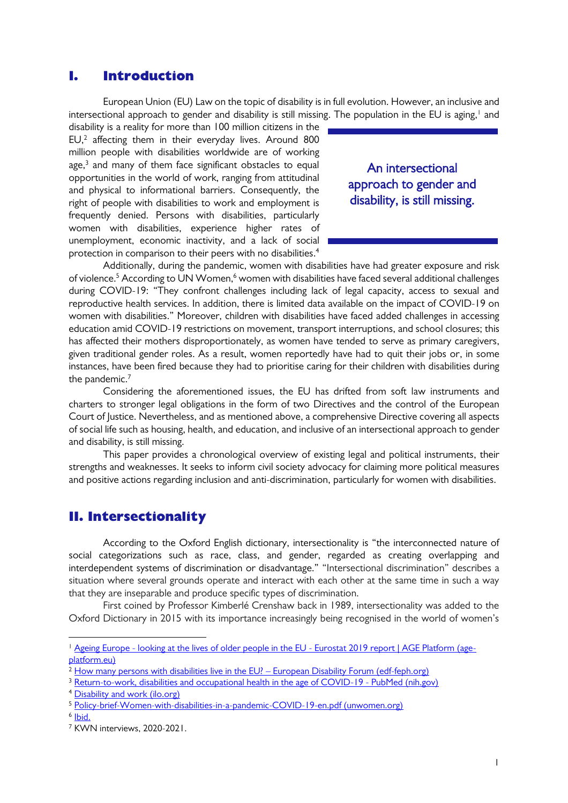## <span id="page-2-0"></span>**I. Introduction**

European Union (EU) Law on the topic of disability is in full evolution. However, an inclusive and intersectional approach to gender and disability is still missing. The population in the EU is aging, <sup>1</sup> and

disability is a reality for more than 100 million citizens in the EU, <sup>2</sup> affecting them in their everyday lives. Around 800 million people with disabilities worldwide are of working age, <sup>3</sup> and many of them face significant obstacles to equal opportunities in the world of work, ranging from attitudinal and physical to informational barriers. Consequently, the right of people with disabilities to work and employment is frequently denied. Persons with disabilities, particularly women with disabilities, experience higher rates of unemployment, economic inactivity, and a lack of social protection in comparison to their peers with no disabilities. 4

An intersectional approach to gender and disability, is still missing.

Additionally, during the pandemic, women with disabilities have had greater exposure and risk of violence.<sup>5</sup> According to UN Women,<sup>6</sup> women with disabilities have faced several additional challenges during COVID-19: "They confront challenges including lack of legal capacity, access to sexual and reproductive health services. In addition, there is limited data available on the impact of COVID-19 on women with disabilities." Moreover, children with disabilities have faced added challenges in accessing education amid COVID-19 restrictions on movement, transport interruptions, and school closures; this has affected their mothers disproportionately, as women have tended to serve as primary caregivers, given traditional gender roles. As a result, women reportedly have had to quit their jobs or, in some instances, have been fired because they had to prioritise caring for their children with disabilities during the pandemic. $7$ 

Considering the aforementioned issues, the EU has drifted from soft law instruments and charters to stronger legal obligations in the form of two Directives and the control of the European Court of Justice. Nevertheless, and as mentioned above, a comprehensive Directive covering all aspects of social life such as housing, health, and education, and inclusive of an intersectional approach to gender and disability, is still missing.

This paper provides a chronological overview of existing legal and political instruments, their strengths and weaknesses. It seeks to inform civil society advocacy for claiming more political measures and positive actions regarding inclusion and anti-discrimination, particularly for women with disabilities.

### <span id="page-2-1"></span>**II. Intersectionality**

According to the Oxford English dictionary, intersectionality is "the interconnected nature of social categorizations such as race, class, and gender, regarded as creating overlapping and interdependent systems of discrimination or disadvantage." "Intersectional discrimination" describes a situation where several grounds operate and interact with each other at the same time in such a way that they are inseparable and produce specific types of discrimination.

First coined by Professor Kimberlé Crenshaw back in 1989, intersectionality was added to the Oxford Dictionary in 2015 with its importance increasingly being recognised in the world of women's

<sup>1</sup> Ageing Europe - [looking at the lives of older people in the EU -](https://www.age-platform.eu/publications/ageing-europe-looking-lives-older-people-eu-eurostat-2019-report) Eurostat 2019 report | AGE Platform (age[platform.eu\)](https://www.age-platform.eu/publications/ageing-europe-looking-lives-older-people-eu-eurostat-2019-report)

<sup>&</sup>lt;sup>2</sup> How many persons with disabilities live in the EU? – [European Disability Forum \(edf-feph.org\)](https://www.edf-feph.org/newsroom-news-how-many-persons-disabilities-live-eu/#:~:text=The%20most%20current%20and%20accurate%20estimate%20points%20at,institutions%20and%20therefore%20not%20represented%20in%20the%20survey.)

<sup>&</sup>lt;sup>3</sup> [Return-to-work, disabilities and occupational health in the age of COVID-19 -](https://pubmed.ncbi.nlm.nih.gov/34003294/) PubMed (nih.gov)

<sup>4</sup> [Disability and work \(ilo.org\)](http://www.ilo.org/global/topics/disability-and-work/WCMS_475650/lang--en/index.htm)

<sup>5</sup> [Policy-brief-Women-with-disabilities-in-a-pandemic-COVID-19-en.pdf \(unwomen.org\)](https://www.unwomen.org/sites/default/files/Headquarters/Attachments/Sections/Library/Publications/2020/Policy-brief-Women-with-disabilities-in-a-pandemic-COVID-19-en.pdf)

<sup>&</sup>lt;sup>6</sup> <u>[Ibid.](https://www.unwomen.org/sites/default/files/Headquarters/Attachments/Sections/Library/Publications/2020/Policy-brief-Women-with-disabilities-in-a-pandemic-COVID-19-en.pdf)</u>

<sup>7</sup> KWN interviews, 2020-2021.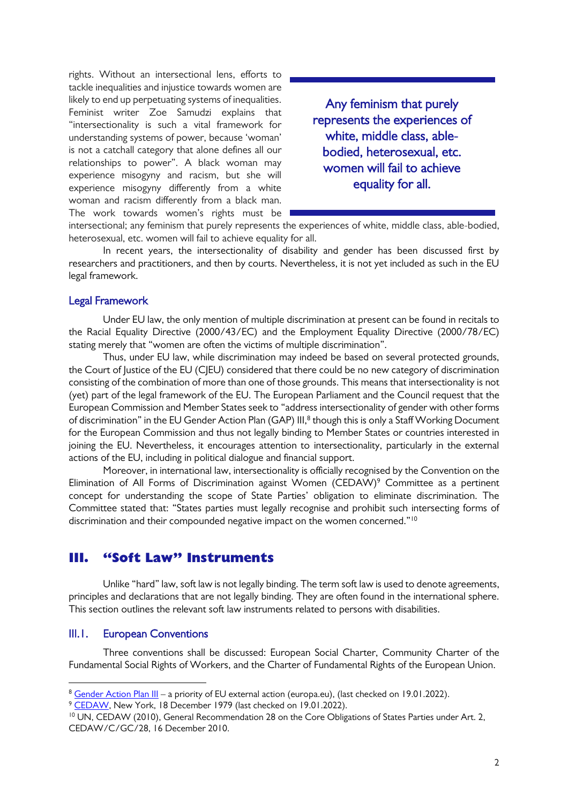rights. Without an intersectional lens, efforts to tackle inequalities and injustice towards women are likely to end up perpetuating systems of inequalities. Feminist writer Zoe Samudzi explains that "intersectionality is such a vital framework for understanding systems of power, because 'woman' is not a catchall category that alone defines all our relationships to power". A black woman may experience misogyny and racism, but she will experience misogyny differently from a white woman and racism differently from a black man. The work towards women's rights must be

Any feminism that purely represents the experiences of white, middle class, ablebodied, heterosexual, etc. women will fail to achieve equality for all.

intersectional; any feminism that purely represents the experiences of white, middle class, able-bodied, heterosexual, etc. women will fail to achieve equality for all.

In recent years, the intersectionality of disability and gender has been discussed first by researchers and practitioners, and then by courts. Nevertheless, it is not yet included as such in the EU legal framework.

#### <span id="page-3-0"></span>Legal Framework

Under EU law, the only mention of multiple discrimination at present can be found in recitals to the Racial Equality Directive (2000/43/EC) and the Employment Equality Directive (2000/78/EC) stating merely that "women are often the victims of multiple discrimination".

Thus, under EU law, while discrimination may indeed be based on several protected grounds, the Court of Justice of the EU (CJEU) considered that there could be no new category of discrimination consisting of the combination of more than one of those grounds. This means that intersectionality is not (yet) part of the legal framework of the EU. The European Parliament and the Council request that the European Commission and Member States seek to "address intersectionality of gender with other forms of discrimination" in the EU Gender Action Plan (GAP) III, $^8$  though this is only a Staff Working Document  $\,$ for the European Commission and thus not legally binding to Member States or countries interested in joining the EU. Nevertheless, it encourages attention to intersectionality, particularly in the external actions of the EU, including in political dialogue and financial support.

Moreover, in international law, intersectionality is officially recognised by the Convention on the Elimination of All Forms of Discrimination against Women (CEDAW) <sup>9</sup> Committee as a pertinent concept for understanding the scope of State Parties' obligation to eliminate discrimination. The Committee stated that: "States parties must legally recognise and prohibit such intersecting forms of discrimination and their compounded negative impact on the women concerned."<sup>10</sup>

### <span id="page-3-1"></span>**III. "Soft Law" Instruments**

Unlike "hard" law, soft law is not legally binding. The term soft law is used to denote agreements, principles and declarations that are not legally binding. They are often found in the international sphere. This section outlines the relevant soft law instruments related to persons with disabilities.

#### <span id="page-3-2"></span>III.1. European Conventions

Three conventions shall be discussed: European Social Charter, Community Charter of the Fundamental Social Rights of Workers, and the Charter of Fundamental Rights of the European Union.

<sup>8</sup> [Gender Action Plan III](https://ec.europa.eu/commission/presscorner/detail/en/IP_20_2184) – a priority of EU external action (europa.eu), (last checked on 19.01.2022).

<sup>&</sup>lt;sup>9</sup> [CEDAW,](https://www.ohchr.org/fr/professionalinterest/pages/cedaw.aspx) New York, 18 December 1979 (last checked on 19.01.2022).

<sup>&</sup>lt;sup>10</sup> UN, CEDAW (2010), General Recommendation 28 on the Core Obligations of States Parties under Art. 2, CEDAW/C/GC/28, 16 December 2010.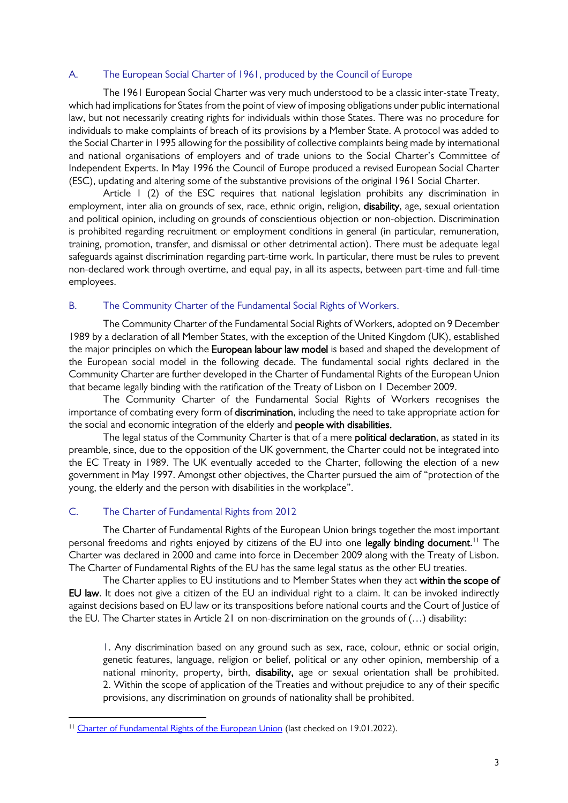#### <span id="page-4-0"></span>A. The European Social Charter of 1961, produced by the Council of Europe

The 1961 European Social Charter was very much understood to be a classic inter-state Treaty, which had implications for States from the point of view of imposing obligations under public international law, but not necessarily creating rights for individuals within those States. There was no procedure for individuals to make complaints of breach of its provisions by a Member State. A protocol was added to the Social Charter in 1995 allowing for the possibility of collective complaints being made by international and national organisations of employers and of trade unions to the Social Charter's Committee of Independent Experts. In May 1996 the Council of Europe produced a revised European Social Charter (ESC), updating and altering some of the substantive provisions of the original 1961 Social Charter.

Article 1 (2) of the ESC requires that national legislation prohibits any discrimination in employment, inter alia on grounds of sex, race, ethnic origin, religion, disability, age, sexual orientation and political opinion, including on grounds of conscientious objection or non-objection. Discrimination is prohibited regarding recruitment or employment conditions in general (in particular, remuneration, training, promotion, transfer, and dismissal or other detrimental action). There must be adequate legal safeguards against discrimination regarding part-time work. In particular, there must be rules to prevent non-declared work through overtime, and equal pay, in all its aspects, between part-time and full-time employees.

#### <span id="page-4-1"></span>B. The Community Charter of the Fundamental Social Rights of Workers.

Th[e Community Charter of the Fundamental Social Rights of Workers,](http://www.aedh.eu/The-Community-Charter-of.html) adopted on 9 December 1989 by a declaration of all Member States, with the exception of the United Kingdom (UK), established the major principles on which the European labour law model is based and shaped the development of the [European social model](https://www.eurofound.europa.eu/ef/observatories/eurwork/industrial-relations-dictionary/european-social-model) in the following decade. The fundamental social rights declared in the Community Charter are further developed in the [Charter of Fundamental Rights of the European Union](https://www.eurofound.europa.eu/ef/observatories/eurwork/industrial-relations-dictionary/charter-of-fundamental-rights-of-the-european-union) that became legally binding with the ratification of the [Treaty of Lisbon on 1 December 2009.](https://www.eurofound.europa.eu/ef/observatories/eurwork/industrial-relations-dictionary/treaty-of-lisbon)

The Community Charter of the Fundamental Social Rights of Workers recognises the importance of combating every form of discrimination, including the need to take appropriate action for the social and economic integration of the elderly and people with disabilities.

The legal status of the Community Charter is that of a mere political declaration, as stated in its preamble, since, due to the opposition of the UK government, the Charter could not be integrated into the EC Treaty in 1989. The UK eventually acceded to the Charter, following the election of a new government in May 1997. Amongst other objectives, the Charter pursued the aim of "protection of the young, the elderly and the person with disabilities in the workplace".

#### <span id="page-4-2"></span>C. The Charter of Fundamental Rights from 2012

The Charter of Fundamental Rights of the European Union brings together the most important personal freedoms and rights enjoyed by citizens of the EU into one **legally binding document**.'' The Charter was declared in 2000 and came into force in December 2009 along with the Treaty of Lisbon. The Charter of Fundamental Rights of the EU has the same legal status as the other EU treaties.

The Charter applies to EU institutions and to Member States when they act within the scope of EU law. It does not give a citizen of the EU an individual right to a claim. It can be invoked indirectly against decisions based on EU law or its transpositions before national courts and the Court of Justice of the EU. The Charter states in Article 21 on non-discrimination on the grounds of (…) disability:

1. Any discrimination based on any ground such as sex, race, colour, ethnic or social origin, genetic features, language, religion or belief, political or any other opinion, membership of a national minority, property, birth, disability, age or sexual orientation shall be prohibited. 2. Within the scope of application of the Treaties and without prejudice to any of their specific provisions, any discrimination on grounds of nationality shall be prohibited.

<sup>&</sup>lt;sup>11</sup> [Charter of Fundamental Rights of the European Union](https://eur-lex.europa.eu/legal-content/en/txt/html/?uri=celex:12012p/txt&from=en) (last checked on 19.01.2022).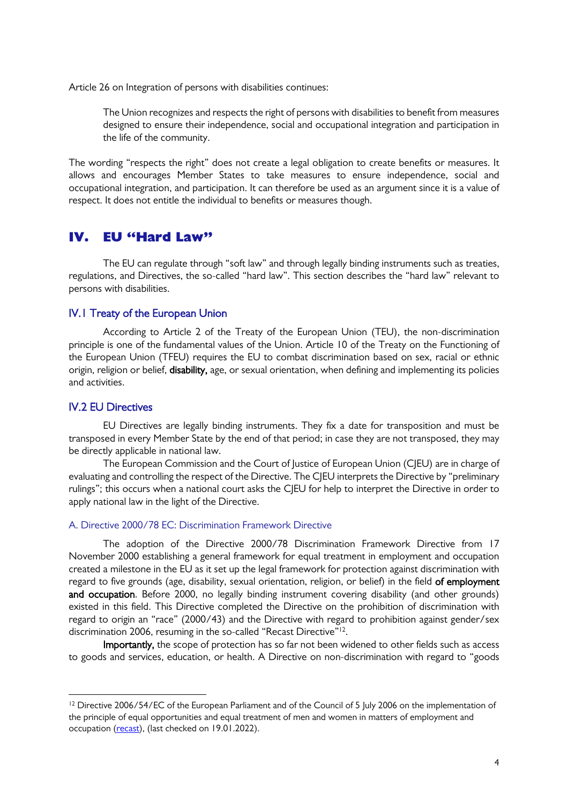Article 26 on Integration of persons with disabilities continues:

The Union recognizes and respects the right of persons with disabilities to benefit from measures designed to ensure their independence, social and occupational integration and participation in the life of the community.

The wording "respects the right" does not create a legal obligation to create benefits or measures. It allows and encourages Member States to take measures to ensure independence, social and occupational integration, and participation. It can therefore be used as an argument since it is a value of respect. It does not entitle the individual to benefits or measures though.

#### <span id="page-5-0"></span>**IV. EU "Hard Law"**

The EU can regulate through "soft law" and through legally binding instruments such as treaties, regulations, and Directives, the so-called "hard law". This section describes the "hard law" relevant to persons with disabilities.

#### <span id="page-5-1"></span>IV.1 Treaty of the European Union

According to Article 2 of the Treaty of the European Union (TEU), the non-discrimination principle is one of the fundamental values of the Union. Article 10 of the Treaty on the Functioning of the European Union (TFEU) requires the EU to combat discrimination based on sex, racial or ethnic origin, religion or belief, disability, age, or sexual orientation, when defining and implementing its policies and activities.

#### <span id="page-5-2"></span>IV.2 EU Directives

EU Directives are legally binding instruments. They fix a date for transposition and must be transposed in every Member State by the end of that period; in case they are not transposed, they may be directly applicable in national law.

The European Commission and the Court of Justice of European Union (CJEU) are in charge of evaluating and controlling the respect of the Directive. The CJEU interprets the Directive by "preliminary rulings"; this occurs when a national court asks the CJEU for help to interpret the Directive in order to apply national law in the light of the Directive.

#### <span id="page-5-3"></span>A. Directive 2000/78 EC: Discrimination Framework Directive

The adoption of the Directive 2000/78 Discrimination Framework Directive from 17 November 2000 establishing a general framework for equal treatment in employment and occupation created a milestone in the EU as it set up the legal framework for protection against discrimination with regard to five grounds (age, disability, sexual orientation, religion, or belief) in the field of employment and occupation. Before 2000, no legally binding instrument covering disability (and other grounds) existed in this field. This Directive completed the Directive on the prohibition of discrimination with regard to origin an "race" (2000/43) and the Directive with regard to prohibition against gender/sex discrimination 2006, resuming in the so-called "Recast Directive" 12 .

Importantly, the scope of protection has so far not been widened to other fields such as access to goods and services, education, or health. A Directive on non-discrimination with regard to "goods

<sup>&</sup>lt;sup>12</sup> Directive 2006/54/EC of the European Parliament and of the Council of 5 July 2006 on the implementation of the principle of equal opportunities and equal treatment of men and women in matters of employment and occupation [\(recast\)](https://eur-lex.europa.eu/legal-content/EN/TXT/?uri=celex%3A32006L0054), (last checked on 19.01.2022).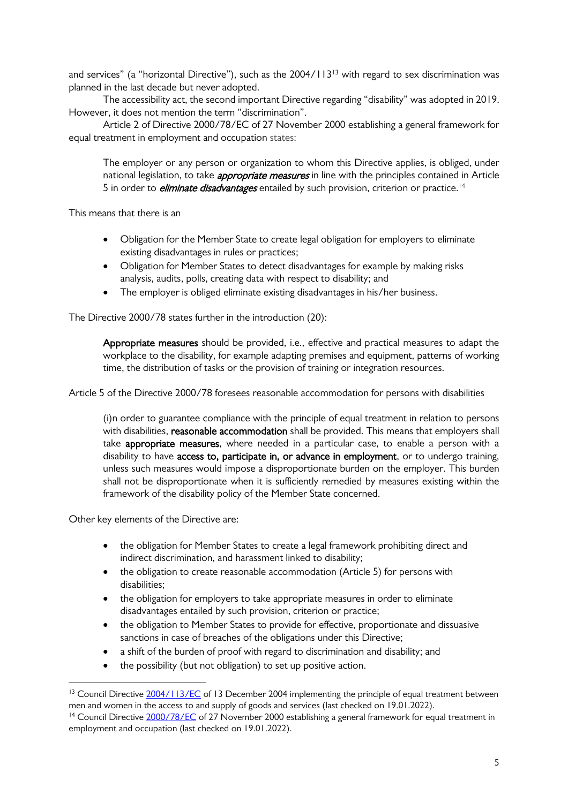and services" (a "horizontal Directive"), such as the 2004/113<sup>13</sup> with regard to sex discrimination was planned in the last decade but never adopted.

The accessibility act, the second important Directive regarding "disability" was adopted in 2019. However, it does not mention the term "discrimination".

Article 2 of Directive [2000/78/EC](https://eur-lex.europa.eu/legal-content/EN/TXT/HTML/?uri=CELEX:32000L0078&from=EN) of 27 November 2000 establishing a general framework for equal treatment in employment and occupation states:

The employer or any person or organization to whom this Directive applies, is obliged, under national legislation, to take *appropriate measures* in line with the principles contained in Article 5 in order to *eliminate disadvantages* entailed by such provision, criterion or practice.<sup>14</sup>

This means that there is an

- Obligation for the Member State to create legal obligation for employers to eliminate existing disadvantages in rules or practices;
- Obligation for Member States to detect disadvantages for example by making risks analysis, audits, polls, creating data with respect to disability; and
- The employer is obliged eliminate existing disadvantages in his/her business.

The Directive 2000/78 states further in the introduction (20):

Appropriate measures should be provided, i.e., effective and practical measures to adapt the workplace to the disability, for example adapting premises and equipment, patterns of working time, the distribution of tasks or the provision of training or integration resources.

Article 5 of the Directive 2000/78 foresees reasonable accommodation for persons with disabilities

(i)n order to guarantee compliance with the principle of equal treatment in relation to persons with disabilities, reasonable accommodation shall be provided. This means that employers shall take appropriate measures, where needed in a particular case, to enable a person with a disability to have access to, participate in, or advance in employment, or to undergo training, unless such measures would impose a disproportionate burden on the employer. This burden shall not be disproportionate when it is sufficiently remedied by measures existing within the framework of the disability policy of the Member State concerned.

Other key elements of the Directive are:

- the obligation for Member States to create a legal framework prohibiting direct and indirect discrimination, and harassment linked to disability;
- the obligation to create reasonable accommodation (Article 5) for persons with disabilities;
- the obligation for employers to take appropriate measures in order to eliminate disadvantages entailed by such provision, criterion or practice;
- the obligation to Member States to provide for effective, proportionate and dissuasive sanctions in case of breaches of the obligations under this Directive;
- a shift of the burden of proof with regard to discrimination and disability; and
- the possibility (but not obligation) to set up positive action.

<sup>&</sup>lt;sup>13</sup> Council Directive [2004/113/EC](https://eur-lex.europa.eu/legal-content/EN/TXT/HTML/?uri=CELEX:32004L0113&from=FR) of 13 December 2004 implementing the principle of equal treatment between men and women in the access to and supply of goods and services (last checked on 19.01.2022).

<sup>&</sup>lt;sup>14</sup> Council Directive [2000/78/EC](https://eur-lex.europa.eu/legal-content/EN/TXT/HTML/?uri=CELEX:32000L0078&from=EN) of 27 November 2000 establishing a general framework for equal treatment in employment and occupation (last checked on 19.01.2022).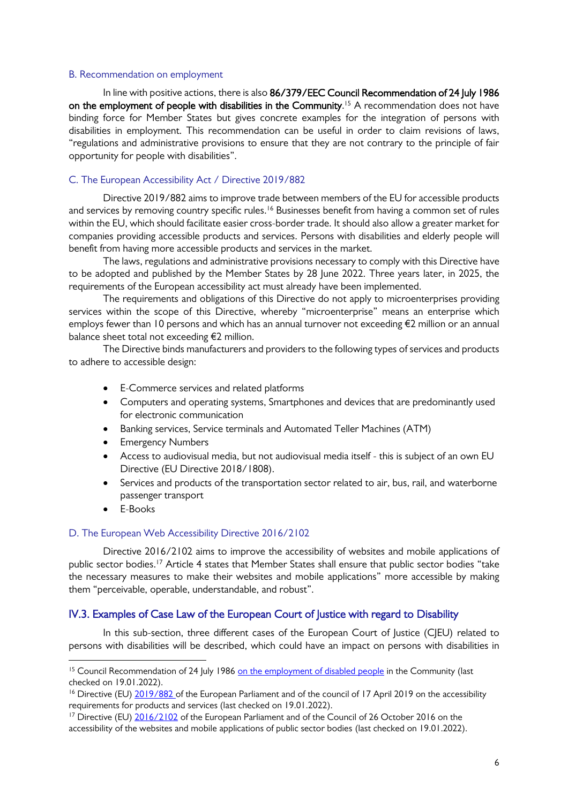#### <span id="page-7-0"></span>B. Recommendation on employment

In line with positive actions, there is also 86/379/EEC Council Recommendation of 24 July 1986 on the employment of people with disabilities in the Community. <sup>15</sup> A recommendation does not have binding force for Member States but gives concrete examples for the integration of persons with disabilities in employment. This recommendation can be useful in order to claim revisions of laws, "regulations and administrative provisions to ensure that they are not contrary to the principle of fair opportunity for people with disabilities".

#### <span id="page-7-1"></span>C. The European Accessibility Act / Directive 2019/882

Directive 2019/882 aims to improve trade between members of the [EU](https://en.wikipedia.org/wiki/EU) fo[r accessible](https://en.wikipedia.org/wiki/Accessibility) products and services by removing country specific rules.<sup>16</sup> Businesses benefit from having a common set of rules within the EU, which should facilitate easier cross-border trade. It should also allow a greater market for companies providing accessible products and services. [Persons with disabilities](https://en.wikipedia.org/wiki/Persons_with_disabilities) and [elderly people](https://en.wikipedia.org/wiki/Elderly_people) will benefit from having more accessible products and services in the market.

The laws, regulations and administrative provisions necessary to comply with this Directive have to be adopted and published by the [Member States](https://en.wikipedia.org/wiki/Member_state_of_the_European_Union) by 28 June 2022. Three years later, in 2025, the requirements of the European accessibility act must already have been implemented.

The requirements and obligations of this Directive do not apply to microenterprises providing services within the scope of this Directive, whereby "microenterprise" means an enterprise which employs fewer than 10 persons and which has an annual turnover not exceeding €2 million or an annual balance sheet total not exceeding €2 million.

The Directive binds manufacturers and providers to the following types of services and products to adhere to accessible design:

- E-Commerce services and related platforms
- Computers and operating systems, Smartphones and devices that are predominantly used for electronic communication
- Banking services, Service terminals and Automated Teller Machines (ATM)
- Emergency Numbers
- Access to audiovisual media, but not audiovisual media itself this is subject of an own EU Directive [\(EU Directive](https://eur-lex.europa.eu/legal-content/EN/TXT/?uri=celex%3A32018L1808) 2018/1808).
- Services and products of the transportation sector related to air, bus, rail, and waterborne passenger transport
- E-Books

#### <span id="page-7-2"></span>D. The European Web Accessibility Directive 2016/2102

Directive 2016/2102 aims to improve the accessibility of websites and mobile applications of public sector bodies.<sup>17</sup> Article 4 states that Member States shall ensure that public sector bodies "take the necessary measures to make their websites and mobile applications" more accessible by making them "perceivable, operable, understandable, and robust".

#### <span id="page-7-3"></span>IV.3. Examples of Case Law of the European Court of Justice with regard to Disability

In this sub-section, three different cases of the European Court of Justice (CJEU) related to persons with disabilities will be described, which could have an impact on persons with disabilities in

<sup>&</sup>lt;sup>15</sup> Council Recommendation of 24 July 1986 [on the employment of disabled people](https://eur-lex.europa.eu/legal-content/EN/TXT/HTML/?uri=CELEX:31986H0379&from=EN) in the Community (last checked on 19.01.2022).

<sup>&</sup>lt;sup>16</sup> Directive (EU) [2019/882](https://eur-lex.europa.eu/legal-content/EN/TXT/HTML/?uri=CELEX:32019L0882&from=EN) of the European Parliament and of the council of 17 April 2019 on the accessibility requirements for products and services (last checked on 19.01.2022).

<sup>&</sup>lt;sup>17</sup> Directive (EU) [2016/2102](https://eur-lex.europa.eu/legal-content/EN/TXT/HTML/?uri=CELEX:32016L2102&qid=1634813905827&from=en) of the European Parliament and of the Council of 26 October 2016 on the

accessibility of the websites and mobile applications of public sector bodies (last checked on 19.01.2022).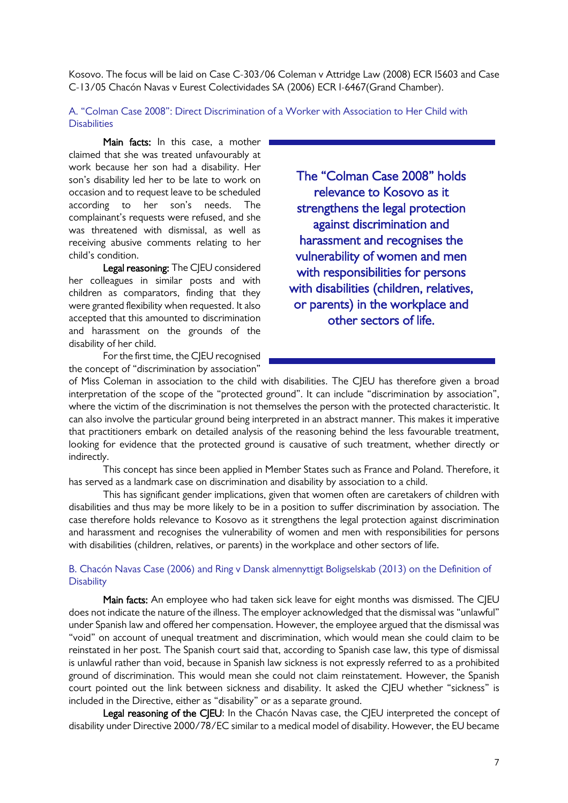Kosovo. The focus will be laid on Case C-303/06 Coleman v Attridge Law (2008) ECR I5603 and Case C-13/05 Chacón Navas v Eurest Colectividades SA (2006) ECR I-6467(Grand Chamber).

<span id="page-8-0"></span>A. "Colman Case 2008": Direct Discrimination of a Worker with Association to Her Child with **Disabilities** 

Main facts: In this case, a mother claimed that she was treated unfavourably at work because her son had a disability. Her son's disability led her to be late to work on occasion and to request leave to be scheduled<br>according to her son's needs. The to her son's needs. complainant's requests were refused, and she was threatened with dismissal, as well as receiving abusive comments relating to her child's condition.

Legal reasoning: The CJEU considered her colleagues in similar posts and with children as comparators, finding that they were granted flexibility when requested. It also accepted that this amounted to discrimination and harassment on the grounds of the disability of her child.

For the first time, the CJEU recognised the concept of "discrimination by association"

The "Colman Case 2008" holds relevance to Kosovo as it strengthens the legal protection against discrimination and harassment and recognises the vulnerability of women and men with responsibilities for persons with disabilities (children, relatives, or parents) in the workplace and other sectors of life.

of Miss Coleman in association to the child with disabilities. The CJEU has therefore given a broad interpretation of the scope of the "protected ground". It can include "discrimination by association", where the victim of the discrimination is not themselves the person with the protected characteristic. It can also involve the particular ground being interpreted in an abstract manner. This makes it imperative that practitioners embark on detailed analysis of the reasoning behind the less favourable treatment, looking for evidence that the protected ground is causative of such treatment, whether directly or indirectly.

This concept has since been applied in Member States such as France and Poland. Therefore, it has served as a landmark case on discrimination and disability by association to a child.

This has significant gender implications, given that women often are caretakers of children with disabilities and thus may be more likely to be in a position to suffer discrimination by association. The case therefore holds relevance to Kosovo as it strengthens the legal protection against discrimination and harassment and recognises the vulnerability of women and men with responsibilities for persons with disabilities (children, relatives, or parents) in the workplace and other sectors of life.

#### <span id="page-8-1"></span>B. Chacón Navas Case (2006) and Ring v Dansk almennyttigt Boligselskab (2013) on the Definition of **Disability**

Main facts: An employee who had taken sick leave for eight months was dismissed. The CJEU does not indicate the nature of the illness. The employer acknowledged that the dismissal was "unlawful" under Spanish law and offered her compensation. However, the employee argued that the dismissal was "void" on account of unequal treatment and discrimination, which would mean she could claim to be reinstated in her post. The Spanish court said that, according to Spanish case law, this type of dismissal is unlawful rather than void, because in Spanish law sickness is not expressly referred to as a prohibited ground of discrimination. This would mean she could not claim reinstatement. However, the Spanish court pointed out the link between sickness and disability. It asked the CJEU whether "sickness" is included in the Directive, either as "disability" or as a separate ground.

Legal reasoning of the CJEU: In the Chacón Navas case, the CJEU interpreted the concept of disability under Directive 2000/78/EC similar to a medical model of disability. However, the EU became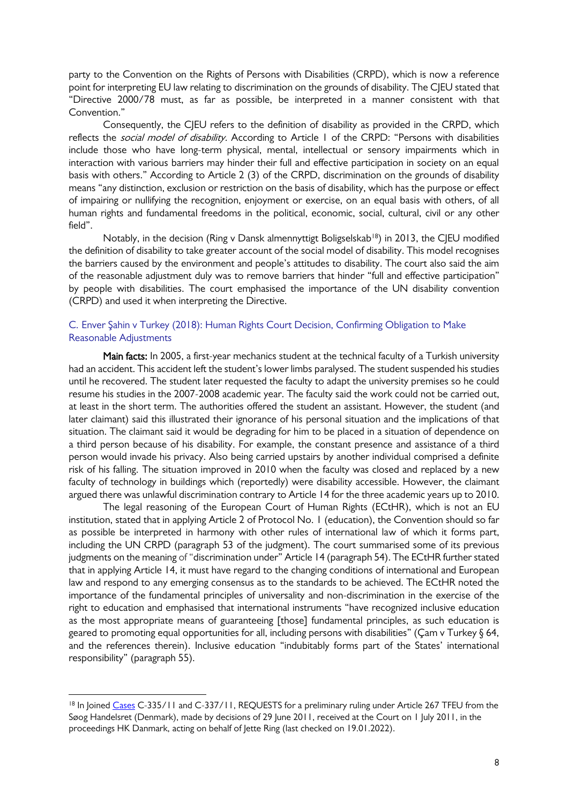party to the Convention on the Rights of Persons with Disabilities (CRPD), which is now a reference point for interpreting EU law relating to discrimination on the grounds of disability. The CJEU stated that "Directive 2000/78 must, as far as possible, be interpreted in a manner consistent with that Convention."

Consequently, the CJEU refers to the definition of disability as provided in the CRPD, which reflects the *social model of disability*. According to Article 1 of the CRPD: "Persons with disabilities include those who have long-term physical, mental, intellectual or sensory impairments which in interaction with various barriers may hinder their full and effective participation in society on an equal basis with others." According to Article 2 (3) of the CRPD, discrimination on the grounds of disability means "any distinction, exclusion or restriction on the basis of disability, which has the purpose or effect of impairing or nullifying the recognition, enjoyment or exercise, on an equal basis with others, of all human rights and fundamental freedoms in the political, economic, social, cultural, civil or any other field".

Notably, in the decision (Ring v Dansk almennyttigt Boligselskab<sup>18</sup>) in 2013, the CJEU modified the definition of disability to take greater account of the social model of disability. This model recognises the barriers caused by the environment and people's attitudes to disability. The court also said the aim of the reasonable adjustment duly was to remove barriers that hinder "full and effective participation" by people with disabilities. The court emphasised the importance of the UN disability convention (CRPD) and used it when interpreting the Directive.

#### <span id="page-9-0"></span>C. Enver Şahin v Turkey (2018): Human Rights Court Decision, Confirming Obligation to Make Reasonable Adjustments

Main facts: In 2005, a first-year mechanics student at the technical faculty of a Turkish university had an accident. This accident left the student's lower limbs paralysed. The student suspended his studies until he recovered. The student later requested the faculty to adapt the university premises so he could resume his studies in the 2007-2008 academic year. The faculty said the work could not be carried out, at least in the short term. The authorities offered the student an assistant. However, the student (and later claimant) said this illustrated their ignorance of his personal situation and the implications of that situation. The claimant said it would be degrading for him to be placed in a situation of dependence on a third person because of his disability. For example, the constant presence and assistance of a third person would invade his privacy. Also being carried upstairs by another individual comprised a definite risk of his falling. The situation improved in 2010 when the faculty was closed and replaced by a new faculty of technology in buildings which (reportedly) were disability accessible. However, the claimant argued there was unlawful discrimination contrary to Article 14 for the three academic years up to 2010.

The legal reasoning of the European Court of Human Rights (ECtHR), which is not an EU institution, stated that in applying Article 2 of Protocol No. 1 (education), the Convention should so far as possible be interpreted in harmony with other rules of international law of which it forms part, including the UN CRPD (paragraph 53 of the judgment). The court summarised some of its previous judgments on the meaning of "discrimination under" Article 14 (paragraph 54). The ECtHR further stated that in applying Article 14, it must have regard to the changing conditions of international and European law and respond to any emerging consensus as to the standards to be achieved. The ECtHR noted the importance of the fundamental principles of universality and non-discrimination in the exercise of the right to education and emphasised that international instruments "have recognized inclusive education as the most appropriate means of guaranteeing [those] fundamental principles, as such education is geared to promoting equal opportunities for all, including persons with disabilities" (Çam v Turkey § 64, and the references therein). Inclusive education "indubitably forms part of the States' international responsibility" (paragraph 55).

<sup>&</sup>lt;sup>18</sup> In Joined [Cases](https://eur-lex.europa.eu/legal-content/EN/TXT/HTML/?uri=CELEX:62011CJ0335&from=EN) C-335/11 and C-337/11, REQUESTS for a preliminary ruling under Article 267 TFEU from the Søog Handelsret (Denmark), made by decisions of 29 June 2011, received at the Court on 1 July 2011, in the proceedings HK Danmark, acting on behalf of Jette Ring (last checked on 19.01.2022).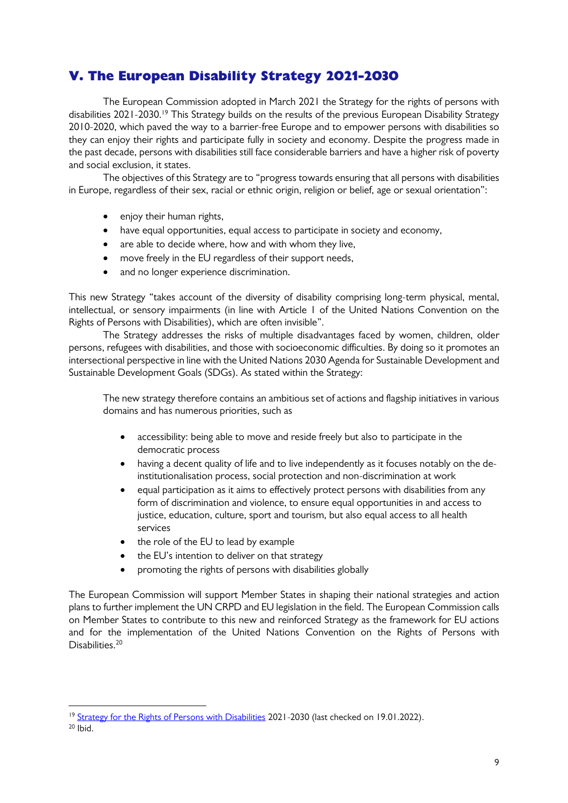## <span id="page-10-0"></span>**V. The European Disability Strategy 2021-2030**

The European Commission adopted in March 2021 the Strategy for the rights of persons with disabilities 2021-2030. <sup>19</sup> This Strategy builds on the results of the previous European Disability Strategy 2010-2020, which paved the way to a barrier-free Europe and to empower persons with disabilities so they can enjoy their rights and participate fully in society and economy. Despite the [progress made in](https://ec.europa.eu/social/main.jsp?langId=en&catId=1484&furtherNews=yes&newsId=9835)  [the past decade,](https://ec.europa.eu/social/main.jsp?langId=en&catId=1484&furtherNews=yes&newsId=9835) persons with disabilities still face considerable barriers and have a higher risk of poverty and social exclusion, it states.

The objectives of this Strategy are to "progress towards ensuring that all persons with disabilities in Europe, regardless of their sex, racial or ethnic origin, religion or belief, age or sexual orientation":

- enjoy their human rights,
- have equal opportunities, equal access to participate in society and economy,
- are able to decide where, how and with whom they live,
- move freely in the EU regardless of their support needs,
- and no longer experience discrimination.

This new Strategy "takes account of the diversity of disability comprising long-term physical, mental, intellectual, or sensory impairments (in line with Article 1 of the United Nations Convention on the Rights of Persons with Disabilities), which are often invisible".

The Strategy addresses the risks of multiple disadvantages faced by women, children, older persons, refugees with disabilities, and those with socioeconomic difficulties. By doing so it promotes an intersectional perspective in line with the United Nations 2030 Agenda for Sustainable Development and Sustainable Development Goals (SDGs). As stated within the Strategy:

The new strategy therefore contains an ambitious set of actions and flagship initiatives in various domains and has numerous priorities, such as

- accessibility: being able to move and reside freely but also to participate in the democratic process
- having a decent quality of life and to live independently as it focuses notably on the deinstitutionalisation process, social protection and non-discrimination at work
- equal participation as it aims to effectively protect persons with disabilities from any form of discrimination and violence, to ensure equal opportunities in and access to justice, education, culture, sport and tourism, but also equal access to all health services
- the role of the EU to lead by example
- the EU's intention to deliver on that strategy
- promoting the rights of persons with disabilities globally

The European Commission will support Member States in shaping their national strategies and action plans to further implement the UN CRPD and EU legislation in the field. The European Commission calls on Member States to contribute to this new and reinforced Strategy as the framework for EU actions and for the implementation of the United Nations Convention on the Rights of Persons with Disabilities.<sup>20</sup>

<sup>19</sup> [Strategy for the Rights of Persons with Disabilities](https://ec.europa.eu/social/main.jsp?catId=1484) 2021-2030 (last checked on 19.01.2022).

 $20$  Ibid.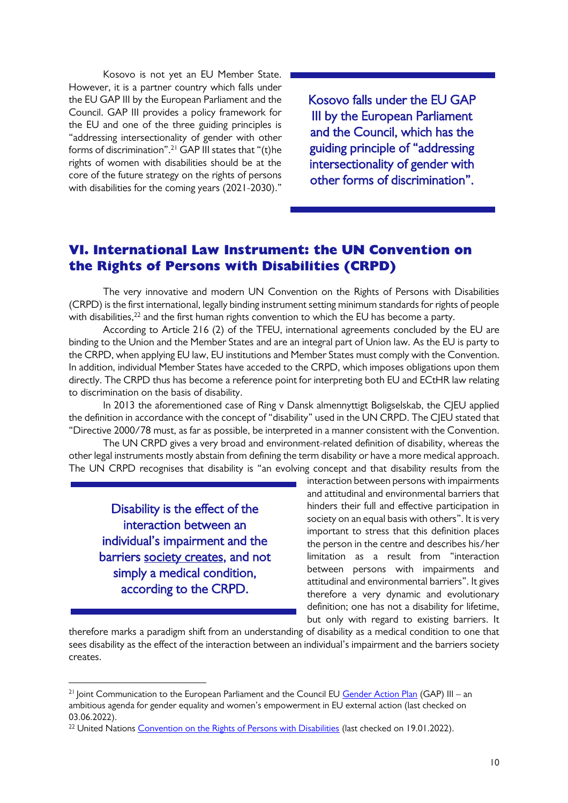Kosovo is not yet an EU Member State. However, it is a partner country which falls under the EU GAP III by the European Parliament and the Council. GAP III provides a policy framework for the EU and one of the three guiding principles is "addressing intersectionality of gender with other forms of discrimination". <sup>21</sup> GAP III states that "(t)he rights of women with disabilities should be at the core of the future strategy on the rights of persons with disabilities for the coming years (2021-2030)."

Kosovo falls under the EU GAP III by the European Parliament and the Council, which has the guiding principle of "addressing intersectionality of gender with other forms of discrimination".

## <span id="page-11-0"></span>**VI. International Law Instrument: the UN Convention on the Rights of Persons with Disabilities (CRPD)**

The very innovative and modern UN Convention on the Rights of Persons with Disabilities (CRPD) is the first international, legally binding instrument setting minimum standards for rights of people with disabilities, $^{22}$  and the first human rights convention to which the EU has become a party.

According to Article 216 (2) of the TFEU, international agreements concluded by the EU are binding to the Union and the Member States and are an integral part of Union law. As the EU is party to the CRPD, when applying EU law, EU institutions and Member States must comply with the Convention. In addition, individual Member States have acceded to the CRPD, which imposes obligations upon them directly. The CRPD thus has become a reference point for interpreting both EU and ECtHR law relating to discrimination on the basis of disability.

In 2013 the aforementioned case of Ring v Dansk almennyttigt Boligselskab, the CJEU applied the definition in accordance with the concept of "disability" used in the UN CRPD. The CJEU stated that "Directive 2000/78 must, as far as possible, be interpreted in a manner consistent with the Convention.

The UN CRPD gives a very broad and environment-related definition of disability, whereas the other legal instruments mostly abstain from defining the term disability or have a more medical approach. The UN CRPD recognises that disability is "an evolving concept and that disability results from the

Disability is the effect of the interaction between an individual's impairment and the barriers society creates, and not simply a medical condition, according to the CRPD.

interaction between persons with impairments and attitudinal and environmental barriers that hinders their full and effective participation in society on an equal basis with others". It is very important to stress that this definition places the person in the centre and describes his/her limitation as a result from "interaction between persons with impairments and attitudinal and environmental barriers". It gives therefore a very dynamic and evolutionary definition; one has not a disability for lifetime, but only with regard to existing barriers. It

therefore marks a paradigm shift from an understanding of disability as a medical condition to one that sees disability as the effect of the interaction between an individual's impairment and the barriers society creates.

<sup>&</sup>lt;sup>21</sup> Joint Communication to the European Parliament and the Council EU [Gender Action Plan](https://ec.europa.eu/international-partnerships/system/files/join_2020_17_en_final.pdf) (GAP) III – an ambitious agenda for gender equality and women's empowerment in EU external action (last checked on 03.06.2022).

<sup>&</sup>lt;sup>22</sup> United Nations [Convention on the Rights of Persons with Disabilities](https://www.ohchr.org/en/hrbodies/crpd/pages/conventionrightspersonswithdisabilities.aspx) (last checked on 19.01.2022).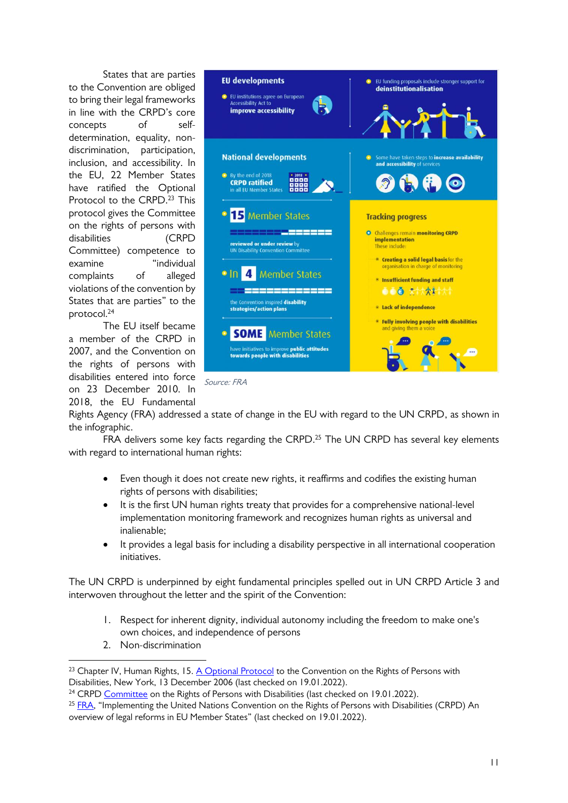States that are parties to the Convention are obliged to bring their legal frameworks in line with the CRPD's core concepts determination, equality, nondiscrimination, participation, inclusion, and accessibility. In the EU, 22 Member States have ratified the Optional Protocol to the CRPD. <sup>23</sup> This protocol gives the Committee on the rights of persons with disabilities (CRPD Committee) competence to<br>examine "individual "individual complaints of alleged violations of the convention by States that are parties" to the protocol.<sup>24</sup>

The EU itself became a member of the CRPD in 2007, and the Convention on the rights of persons with disabilities entered into force on 23 December 2010. In 2018, the EU Fundamental



Rights Agency (FRA) addressed a state of change in the EU with regard to the UN CRPD, as shown in the infographic.

FRA delivers some key facts regarding the CRPD. <sup>25</sup> The UN CRPD has several key elements with regard to international human rights:

- Even though it does not create new rights, it reaffirms and codifies the existing human rights of persons with disabilities;
- It is the first UN human rights treaty that provides for a comprehensive national-level implementation monitoring framework and recognizes human rights as universal and inalienable;
- It provides a legal basis for including a disability perspective in all international cooperation initiatives.

The UN CRPD is underpinned by eight fundamental principles spelled out in UN CRPD Article 3 and interwoven throughout the letter and the spirit of the Convention:

- 1. Respect for inherent dignity, individual autonomy including the freedom to make one's own choices, and independence of persons
- 2. Non-discrimination

<sup>&</sup>lt;sup>23</sup> Chapter IV, Human Rights, 15. [A Optional Protocol](https://treaties.un.org/Pages/ViewDetails.aspx?src=IND&mtdsg_no=IV-15-a&chapter=4&clang=_en) to the Convention on the Rights of Persons with Disabilities, New York, 13 December 2006 (last checked on 19.01.2022).

<sup>&</sup>lt;sup>24</sup> CRPD [Committee](https://www.ohchr.org/en/hrbodies/crpd/pages/crpdindex.aspx) on the Rights of Persons with Disabilities (last checked on 19.01.2022).

<sup>&</sup>lt;sup>25</sup> [FRA](https://fra.europa.eu/sites/default/files/fra-2015-focus-05-2015-crpd_en.pdf), "Implementing the United Nations Convention on the Rights of Persons with Disabilities (CRPD) An overview of legal reforms in EU Member States" (last checked on 19.01.2022).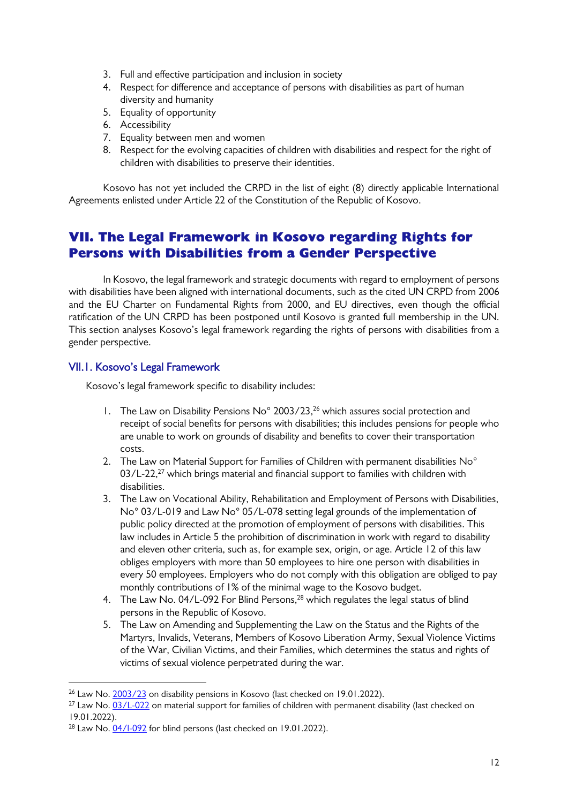- 3. Full and effective participation and inclusion in society
- 4. Respect for difference and acceptance of persons with disabilities as part of human diversity and humanity
- 5. Equality of opportunity
- 6. Accessibility
- 7. Equality between men and women
- 8. Respect for the evolving capacities of children with disabilities and respect for the right of children with disabilities to preserve their identities.

Kosovo has not yet included the CRPD in the list of eight (8) directly applicable International Agreements enlisted under Article 22 of the Constitution of the Republic of Kosovo.

## <span id="page-13-0"></span>**VII. The Legal Framework in Kosovo regarding Rights for Persons with Disabilities from a Gender Perspective**

In Kosovo, the legal framework and strategic documents with regard to employment of persons with disabilities have been aligned with international documents, such as the cited UN CRPD from 2006 and the EU Charter on Fundamental Rights from 2000, and EU directives, even though the official ratification of the UN CRPD has been postponed until Kosovo is granted full membership in the UN. This section analyses Kosovo's legal framework regarding the rights of persons with disabilities from a gender perspective.

### <span id="page-13-1"></span>VII.1. Kosovo's Legal Framework

Kosovo's legal framework specific to disability includes:

- 1. The Law on Disability Pensions No° 2003/23, <sup>26</sup> which assures social protection and receipt of social benefits for persons with disabilities; this includes pensions for people who are unable to work on grounds of disability and benefits to cover their transportation costs.
- 2. The Law on Material Support for Families of Children with permanent disabilities No° 03/L-22, <sup>27</sup> which brings material and financial support to families with children with disabilities.
- 3. The Law on Vocational Ability, Rehabilitation and Employment of Persons with Disabilities, No° 03/L-019 and Law No° 05/L-078 setting legal grounds of the implementation of public policy directed at the promotion of employment of persons with disabilities. This law includes in Article 5 the prohibition of discrimination in work with regard to disability and eleven other criteria, such as, for example sex, origin, or age. Article 12 of this law obliges employers with more than 50 employees to hire one person with disabilities in every 50 employees. Employers who do not comply with this obligation are obliged to pay monthly contributions of 1% of the minimal wage to the Kosovo budget.
- 4. The Law No. 04/L-092 For Blind Persons, <sup>28</sup> which regulates the legal status of blind persons in the Republic of Kosovo.
- 5. The Law on Amending and Supplementing the Law on the Status and the Rights of the Martyrs, Invalids, Veterans, Members of Kosovo Liberation Army, Sexual Violence Victims of the War, Civilian Victims, and their Families, which determines the status and rights of victims of sexual violence perpetrated during the war.

<sup>&</sup>lt;sup>26</sup> Law No. [2003/23](http://old.kuvendikosoves.org/common/docs/ligjet/2003_23_en.pdf) on disability pensions in Kosovo (last checked on 19.01.2022).

<sup>&</sup>lt;sup>27</sup> Law No. [03/L-022](https://mpms.rks-gov.net/en/wpdm-package/law-on-material-support-for-families-of-children-with-permanent-disability-pdf/?wpdmdl=1375&ind=TEFXIE9OIE1BVEVSSUFMIFNVUFBPUlQgRk9SIEZBTUlMSUVTIE9GIENISUxEUkVOIFdJVEggUEVSTUFORU5UIERJU0FCSUxJVFkucGRm) on material support for families of children with permanent disability (last checked on 19.01.2022).

<sup>&</sup>lt;sup>28</sup> Law No. 04/I-092 for blind persons (last checked on 19.01.2022).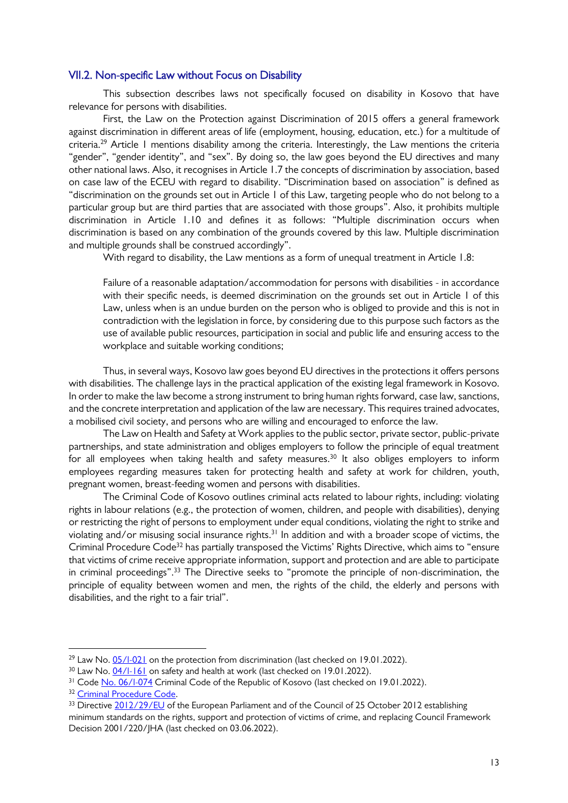#### <span id="page-14-0"></span>VII.2. Non-specific Law without Focus on Disability

This subsection describes laws not specifically focused on disability in Kosovo that have relevance for persons with disabilities.

First, the Law on the Protection against Discrimination of 2015 offers a general framework against discrimination in different areas of life (employment, housing, education, etc.) for a multitude of criteria.<sup>29</sup> Article 1 mentions disability among the criteria. Interestingly, the Law mentions the criteria "gender", "gender identity", and "sex". By doing so, the law goes beyond the EU directives and many other national laws. Also, it recognises in Article 1.7 the concepts of discrimination by association, based on case law of the ECEU with regard to disability. "Discrimination based on association" is defined as "discrimination on the grounds set out in Article 1 of this Law, targeting people who do not belong to a particular group but are third parties that are associated with those groups". Also, it prohibits multiple discrimination in Article 1.10 and defines it as follows: "Multiple discrimination occurs when discrimination is based on any combination of the grounds covered by this law. Multiple discrimination and multiple grounds shall be construed accordingly".

With regard to disability, the Law mentions as a form of unequal treatment in Article 1.8:

Failure of a reasonable adaptation/accommodation for persons with disabilities - in accordance with their specific needs, is deemed discrimination on the grounds set out in Article 1 of this Law, unless when is an undue burden on the person who is obliged to provide and this is not in contradiction with the legislation in force, by considering due to this purpose such factors as the use of available public resources, participation in social and public life and ensuring access to the workplace and suitable working conditions;

Thus, in several ways, Kosovo law goes beyond EU directives in the protections it offers persons with disabilities. The challenge lays in the practical application of the existing legal framework in Kosovo. In order to make the law become a strong instrument to bring human rights forward, case law, sanctions, and the concrete interpretation and application of the law are necessary. This requires trained advocates, a mobilised civil society, and persons who are willing and encouraged to enforce the law.

The Law on Health and Safety at Work applies to the public sector, private sector, public-private partnerships, and state administration and obliges employers to follow the principle of equal treatment for all employees when taking health and safety measures.<sup>30</sup> It also obliges employers to inform employees regarding measures taken for protecting health and safety at work for children, youth, pregnant women, breast-feeding women and persons with disabilities.

The Criminal Code of Kosovo outlines criminal acts related to labour rights, including: violating rights in labour relations (e.g., the protection of women, children, and people with disabilities), denying or restricting the right of persons to employment under equal conditions, violating the right to strike and violating and/or misusing social insurance rights.<sup>31</sup> In addition and with a broader scope of victims, the Criminal Procedure Code<sup>32</sup> has partially transposed the Victims' Rights Directive, which aims to "ensure that victims of crime receive appropriate information, support and protection and are able to participate in criminal proceedings".<sup>33</sup> The Directive seeks to "promote the principle of non-discrimination, the principle of equality between women and men, the rights of the child, the elderly and persons with disabilities, and the right to a fair trial".

<sup>32</sup> [Criminal Procedure Code.](https://gzk.rks-gov.net/ActDetail.aspx?ActID=286)

 $29$  Law No.  $05/1-021$  on the protection from discrimination (last checked on 19.01.2022).

<sup>&</sup>lt;sup>30</sup> Law No. [04/l-161](https://gzk.rks-gov.net/ActDetail.aspx?ActID=8689) on safety and health at work (last checked on 19.01.2022).

<sup>&</sup>lt;sup>31</sup> Code [No. 06/l-074](https://md.rks-gov.net/desk/inc/media/A5713395-507E-4538-BED6-2FA2510F3FCD.pdf) Criminal Code of the Republic of Kosovo (last checked on 19.01.2022).

<sup>&</sup>lt;sup>33</sup> Directive [2012/29/EU](https://eur-lex.europa.eu/legal-content/EN/TXT/?uri=CELEX%3A32012L0029) of the European Parliament and of the Council of 25 October 2012 establishing

minimum standards on the rights, support and protection of victims of crime, and replacing Council Framework Decision 2001/220/JHA (last checked on 03.06.2022).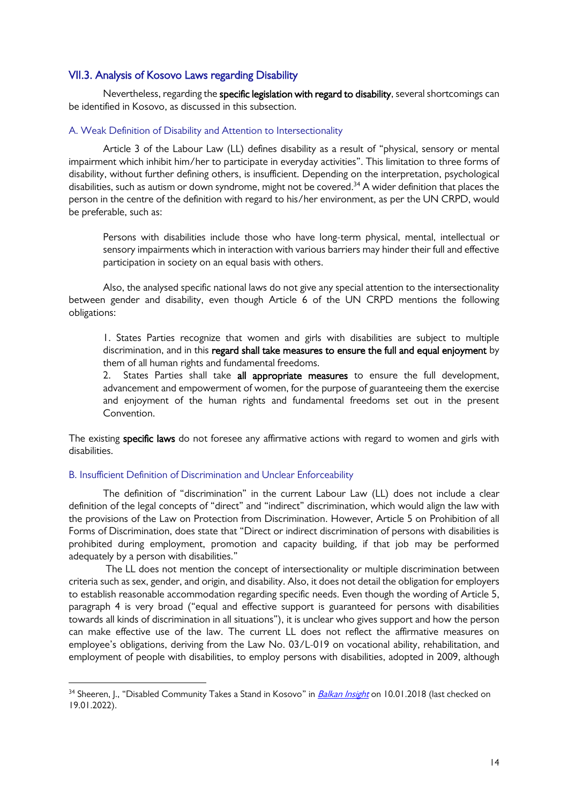#### <span id="page-15-0"></span>VII.3. Analysis of Kosovo Laws regarding Disability

Nevertheless, regarding the specific legislation with regard to disability, several shortcomings can be identified in Kosovo, as discussed in this subsection.

#### <span id="page-15-1"></span>A. Weak Definition of Disability and Attention to Intersectionality

Article 3 of the Labour Law (LL) defines disability as a result of "physical, sensory or mental impairment which inhibit him/her to participate in everyday activities". This limitation to three forms of disability, without further defining others, is insufficient. Depending on the interpretation, psychological disabilities, such as autism or down syndrome, might not be covered. <sup>34</sup> A wider definition that places the person in the centre of the definition with regard to his/her environment, as per the UN CRPD, would be preferable, such as:

Persons with disabilities include those who have long-term physical, mental, intellectual or sensory impairments which in interaction with various barriers may hinder their full and effective participation in society on an equal basis with others.

Also, the analysed specific national laws do not give any special attention to the intersectionality between gender and disability, even though Article 6 of the UN CRPD mentions the following obligations:

1. States Parties recognize that women and girls with disabilities are subject to multiple discrimination, and in this regard shall take measures to ensure the full and equal enjoyment by them of all human rights and fundamental freedoms.

2. States Parties shall take all appropriate measures to ensure the full development, advancement and empowerment of women, for the purpose of guaranteeing them the exercise and enjoyment of the human rights and fundamental freedoms set out in the present Convention.

The existing specific laws do not foresee any affirmative actions with regard to women and girls with disabilities.

#### <span id="page-15-2"></span>B. Insufficient Definition of Discrimination and Unclear Enforceability

The definition of "discrimination" in the current Labour Law (LL) does not include a clear definition of the legal concepts of "direct" and "indirect" discrimination, which would align the law with the provisions of the Law on Protection from Discrimination. However, Article 5 on Prohibition of all Forms of Discrimination, does state that "Direct or indirect discrimination of persons with disabilities is prohibited during employment, promotion and capacity building, if that job may be performed adequately by a person with disabilities."

The LL does not mention the concept of intersectionality or multiple discrimination between criteria such as sex, gender, and origin, and disability. Also, it does not detail the obligation for employers to establish reasonable accommodation regarding specific needs. Even though the wording of Article 5, paragraph 4 is very broad ("equal and effective support is guaranteed for persons with disabilities towards all kinds of discrimination in all situations"), it is unclear who gives support and how the person can make effective use of the law. The current LL does not reflect the affirmative measures on employee's obligations, deriving from the Law No. 03/L-019 on vocational ability, rehabilitation, and employment of people with disabilities, to employ persons with disabilities, adopted in 2009, although

<sup>34</sup> Sheeren, J., "Disabled Community Takes a Stand in Kosovo" in **[Balkan Insight](https://balkaninsight.com/2018/01/10/disabled-community-takes-a-stand-in-kosovo-01-09-2018/#:~:text=While%20Kosovo%20has%20adopted%20laws,Down%20syndrome%20as%20a%20disability)** on 10.01.2018 (last checked on 19.01.2022).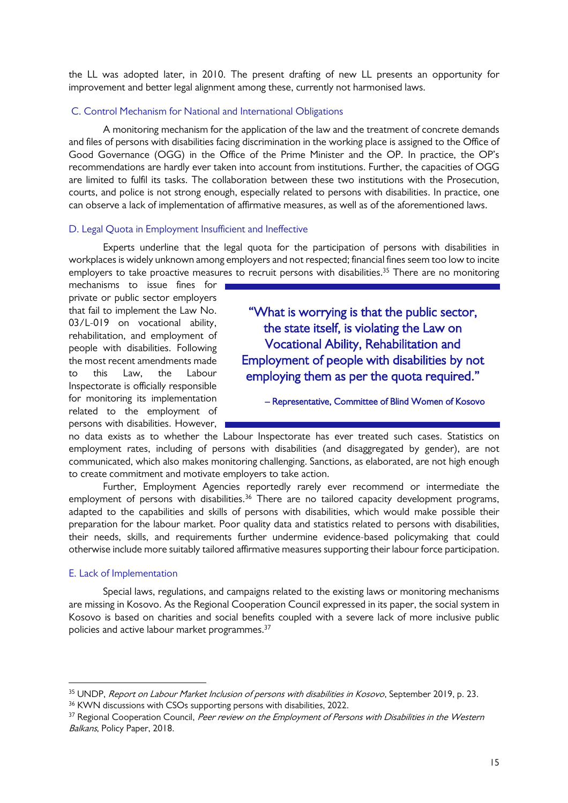the LL was adopted later, in 2010. The present drafting of new LL presents an opportunity for improvement and better legal alignment among these, currently not harmonised laws.

#### <span id="page-16-0"></span>C. Control Mechanism for National and International Obligations

A monitoring mechanism for the application of the law and the treatment of concrete demands and files of persons with disabilities facing discrimination in the working place is assigned to the Office of Good Governance (OGG) in the Office of the Prime Minister and the OP. In practice, the OP's recommendations are hardly ever taken into account from institutions. Further, the capacities of OGG are limited to fulfil its tasks. The collaboration between these two institutions with the Prosecution, courts, and police is not strong enough, especially related to persons with disabilities. In practice, one can observe a lack of implementation of affirmative measures, as well as of the aforementioned laws.

#### <span id="page-16-1"></span>D. Legal Quota in Employment Insufficient and Ineffective

Experts underline that the legal quota for the participation of persons with disabilities in workplaces is widely unknown among employers and not respected; financial fines seem too low to incite employers to take proactive measures to recruit persons with disabilities. <sup>35</sup> There are no monitoring

mechanisms to issue fines for private or public sector employers that fail to implement the Law No. 03/L-019 on vocational ability, rehabilitation, and employment of people with disabilities. Following the most recent amendments made to this Law, the Labour Inspectorate is officially responsible for monitoring its implementation related to the employment of persons with disabilities. However,

"What is worrying is that the public sector, the state itself, is violating the Law on Vocational Ability, Rehabilitation and Employment of people with disabilities by not employing them as per the quota required."

– Representative, Committee of Blind Women of Kosovo

no data exists as to whether the Labour Inspectorate has ever treated such cases. Statistics on employment rates, including of persons with disabilities (and disaggregated by gender), are not communicated, which also makes monitoring challenging. Sanctions, as elaborated, are not high enough to create commitment and motivate employers to take action.

Further, Employment Agencies reportedly rarely ever recommend or intermediate the employment of persons with disabilities.<sup>36</sup> There are no tailored capacity development programs, adapted to the capabilities and skills of persons with disabilities, which would make possible their preparation for the labour market. Poor quality data and statistics related to persons with disabilities, their needs, skills, and requirements further undermine evidence-based policymaking that could otherwise include more suitably tailored affirmative measures supporting their labour force participation.

#### <span id="page-16-2"></span>E. Lack of Implementation

Special laws, regulations, and campaigns related to the existing laws or monitoring mechanisms are missing in Kosovo. As the Regional Cooperation Council expressed in its paper, the social system in Kosovo is based on charities and social benefits coupled with a severe lack of more inclusive public policies and active labour market programmes.<sup>37</sup>

<sup>&</sup>lt;sup>35</sup> UNDP, Report on Labour Market Inclusion of persons with disabilities in Kosovo, September 2019, p. 23.

<sup>&</sup>lt;sup>36</sup> KWN discussions with CSOs supporting persons with disabilities, 2022.

<sup>&</sup>lt;sup>37</sup> Regional Cooperation Council, Peer review on the Employment of Persons with Disabilities in the Western Balkans, Policy Paper, 2018.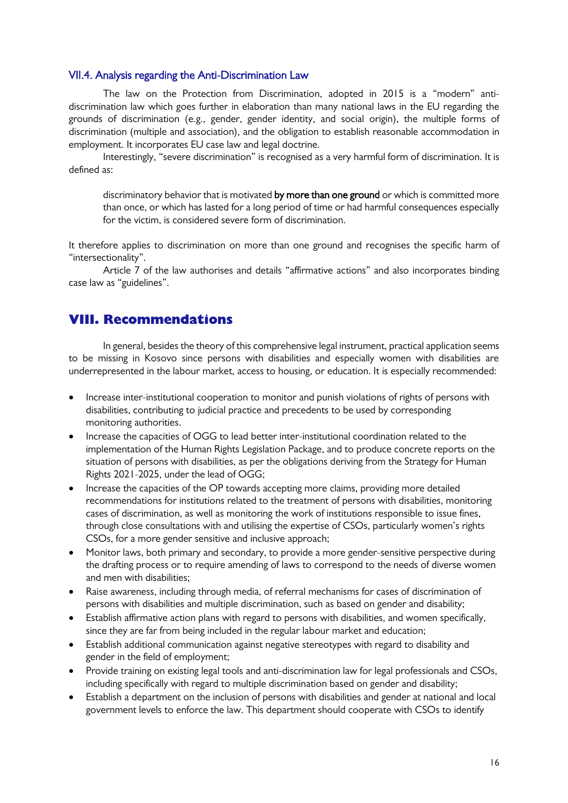#### <span id="page-17-0"></span>VII.4. Analysis regarding the Anti-Discrimination Law

The law on the Protection from Discrimination, adopted in 2015 is a "modern" antidiscrimination law which goes further in elaboration than many national laws in the EU regarding the grounds of discrimination (e.g., gender, gender identity, and social origin), the multiple forms of discrimination (multiple and association), and the obligation to establish reasonable accommodation in employment. It incorporates EU case law and legal doctrine.

Interestingly, "severe discrimination" is recognised as a very harmful form of discrimination. It is defined as:

discriminatory behavior that is motivated by more than one ground or which is committed more than once, or which has lasted for a long period of time or had harmful consequences especially for the victim, is considered severe form of discrimination.

It therefore applies to discrimination on more than one ground and recognises the specific harm of "intersectionality".

Article 7 of the law authorises and details "affirmative actions" and also incorporates binding case law as "guidelines".

### <span id="page-17-1"></span>**VIII. Recommendations**

In general, besides the theory of this comprehensive legal instrument, practical application seems to be missing in Kosovo since persons with disabilities and especially women with disabilities are underrepresented in the labour market, access to housing, or education. It is especially recommended:

- Increase inter-institutional cooperation to monitor and punish violations of rights of persons with disabilities, contributing to judicial practice and precedents to be used by corresponding monitoring authorities.
- Increase the capacities of OGG to lead better inter-institutional coordination related to the implementation of the Human Rights Legislation Package, and to produce concrete reports on the situation of persons with disabilities, as per the obligations deriving from the Strategy for Human Rights 2021-2025, under the lead of OGG;
- Increase the capacities of the OP towards accepting more claims, providing more detailed recommendations for institutions related to the treatment of persons with disabilities, monitoring cases of discrimination, as well as monitoring the work of institutions responsible to issue fines, through close consultations with and utilising the expertise of CSOs, particularly women's rights CSOs, for a more gender sensitive and inclusive approach;
- Monitor laws, both primary and secondary, to provide a more gender-sensitive perspective during the drafting process or to require amending of laws to correspond to the needs of diverse women and men with disabilities;
- Raise awareness, including through media, of referral mechanisms for cases of discrimination of persons with disabilities and multiple discrimination, such as based on gender and disability;
- Establish affirmative action plans with regard to persons with disabilities, and women specifically, since they are far from being included in the regular labour market and education;
- Establish additional communication against negative stereotypes with regard to disability and gender in the field of employment;
- Provide training on existing legal tools and anti-discrimination law for legal professionals and CSOs, including specifically with regard to multiple discrimination based on gender and disability;
- Establish a department on the inclusion of persons with disabilities and gender at national and local government levels to enforce the law. This department should cooperate with CSOs to identify